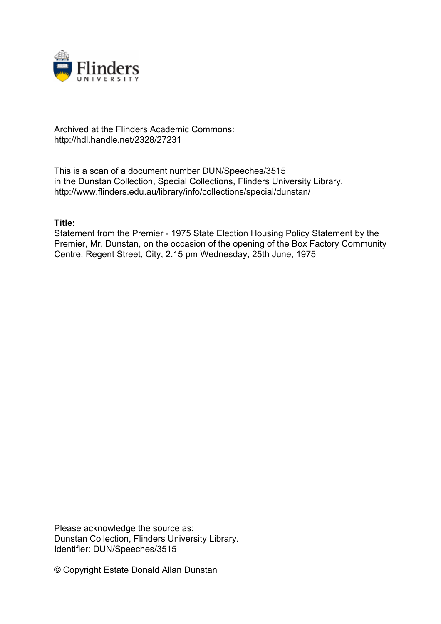

# Archived at the Flinders Academic Commons: http://hdl.handle.net/2328/27231

This is a scan of a document number DUN/Speeches/3515 in the Dunstan Collection, Special Collections, Flinders University Library. http://www.flinders.edu.au/library/info/collections/special/dunstan/

# **Title:**

Statement from the Premier - 1975 State Election Housing Policy Statement by the Premier, Mr. Dunstan, on the occasion of the opening of the Box Factory Community Centre, Regent Street, City, 2.15 pm Wednesday, 25th June, 1975

Please acknowledge the source as: Dunstan Collection, Flinders University Library. Identifier: DUN/Speeches/3515

© Copyright Estate Donald Allan Dunstan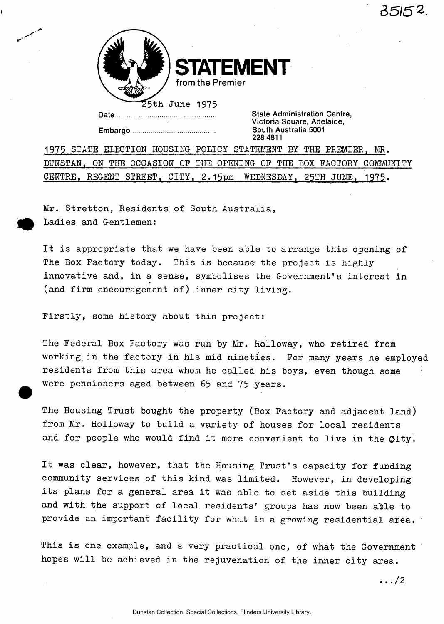

**STATEMENT**  from the Premier

25th June 1975

Embargo South Australia 5001

Date Manuscritt Charles Charles State Administration Centre, Victoria Square, Adelaide,<br>South Australia 5001 228 4811

1975 STATE ELECTION HOUSING POLICY STATEMENT BY THE PREMIER, MR. DUNSTAN, ON THE OCCASION OF THE OPENING OF THE BOX FACTORY COMMUNITY CENTRE, REGENT STREET, CITY, 2.15pm WEDNESDAY, 25TH JUNE, 1975.

Mr. Stretton, Residents of South Australia, Ladies and Gentlemen:

It is appropriate that we have been able to arrange this opening of The Box Factory today. This is because the project is highly innovative and, in a sense, symbolises the Government's interest in (and firm encouragement of) inner city living.

Firstly, some history about this project:

The Federal Box Factory was run by Mr. Holloway, who retired from working in the factory in his mid nineties. For many years he employed residents from this area whom he called his boys, even though some were pensioners aged between 65 and 75 years.

The Housing Trust bought the property (Box Factory and adjacent land) from Mr. Holloway to build a variety of houses for local residents and for people who would find it more convenient to live in the Gity.

It was clear, however, that the Housing Trust's capacity for funding community services of this kind was limited. However, in developing its plans for a general area it was able to set aside this building and with the support of local residents' groups has now been able to provide an important facility for what is a growing residential area. '

This is one example, and a very practical one, of what the Government hopes will be achieved in the rejuvenation of the inner city area.

.. ./2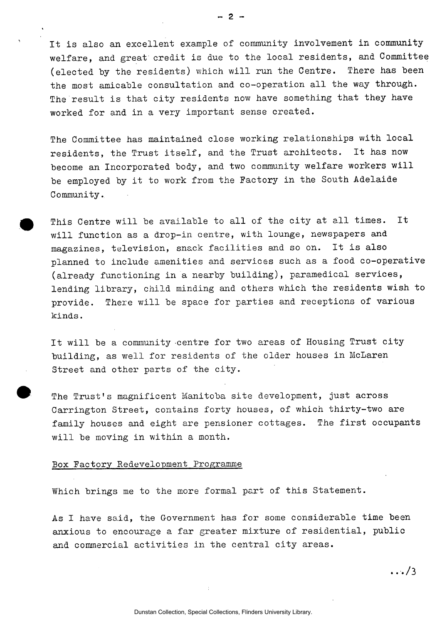It is also an excellent example of community involvement in community welfare, and great credit is due to the local residents, and Committee (elected by the residents) which will run the Centre. There has been the most amicable consultation and co-operation all the way through. The result is that city residents now have something that they have worked for and in a very important sense created.

The Committee has maintained close working relationships with local residents, the Trust itself, and the Trust architects. It has now become an Incorporated body, and two community welfare workers will be employed by it to work from the Factory in the South Adelaide Community.

This Centre will be available to all of the city at all times. It will function as a drop-in centre, with lounge, newspapers and magazines, television, snack facilities and so on. It is also planned to include amenities and services such as a food co-operative (already functioning in a nearby building), paramedical services, lending library, child minding and others which the residents wish to provide. There will be space for parties and receptions of various kinds.

It will be a community centre for two areas of Housing Trust city building, as well for residents of the older houses in McLaren Street and other parts of the city.

The Trust's magnificent Manitoba site development, just across Carrington Street, contains forty houses, of which thirty-two are family houses and eight are pensioner cottages. The first occupants will be moving in within a month.

#### Box Factory Redevelopment Programme

Which brings me to the more formal part of this Statement.

As I have said, the Government has for some considerable time been anxious to encourage a far greater mixture of residential, public and commercial activities in the central city areas.

.../3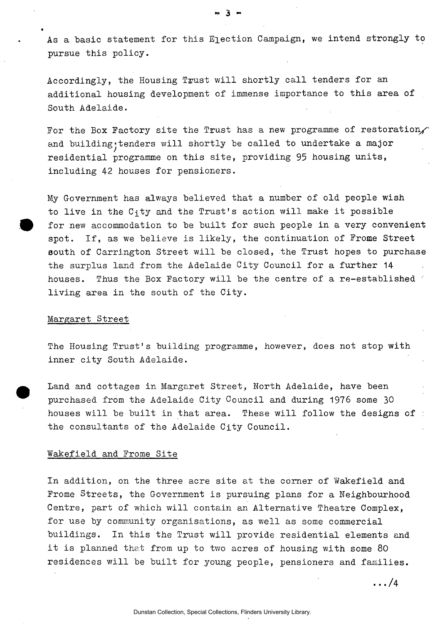As a basic statement for this Election Campaign, we intend strongly to pursue this policy.

Accordingly, the Housing Trust will shortly call tenders for an additional housing development of immense importance to this area of South Adelaide.

For the Box Factory site the Trust has a new programme of restoration, and building; tenders will shortly be called to undertake a major residential programme on this site, providing 95 housing units, including 42 houses for pensioners.

My Government has always believed that a number of old people wish to live in the  $C_1$ ty and the Trust's action will make it possible for new accommodation to be built for such people in a very convenient spot. If, as we believe is likely, the continuation of Frome Street south of Carrington Street will be closed, the Trust hopes to purchase the surplus land from the Adelaide City Council for a further 14 houses. Thus the Box Factory will be the centre of a re-established living area in the south of the City.

#### Margaret Street

The Housing Trust's building programme, however, does not stop with inner city South Adelaide.

Land and cottages in Margaret Street, North Adelaide, have been purchased from the Adelaide City Council and during 1976 some 30 houses will be built in that area. These will follow the designs of : the consultants of the Adelaide City Council.

#### Wakefield and Frome Site

In addition, on the three acre site at the corner of Wakefield and Frome Streets, the Government is pursuing plans for a Neighbourhood Centre, part of which will contain an Alternative Theatre Complex, for use by community organisations, as well as some commercial buildings. In this the Trust will provide residential elements and it is planned that from up to two acres of housing with some 80 residences will be built for young people, pensioners and families.

... /4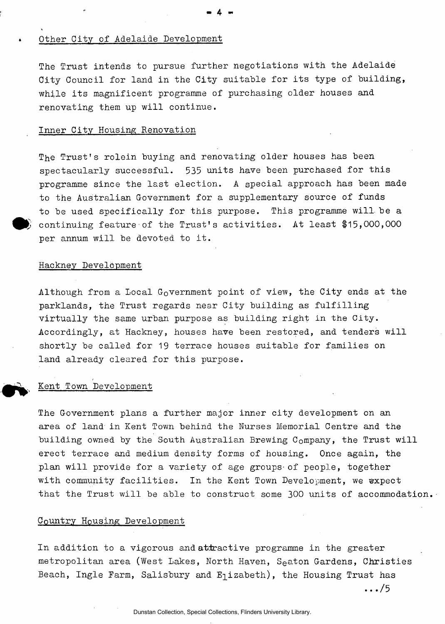## Other City of Adelaide Development

The Trust intends to pursue further negotiations with the Adelaide City Council for land in the City suitable for its type of building, while its magnificent programme of purchasing older houses and renovating them up will continue.

•» 4- ••

### Inner City Housing Renovation

The Trust's rolein buying and renovating older houses has been spectacularly successful. 535 units have been purchased for this programme since the last election. A special approach has been made to the Australian Government for a supplementary source of funds to be used specifically for this purpose. This programme will be a continuing feature of the Trust's activities. At least \$15,000,000 per annum will be devoted to it.

## Hackney Development

Although from a Local Government point of view, the City ends at the parklands, the Trust regards near City building as fulfilling virtually the same urban purpose as building right in the City. Accordingly, at Hackney, houses have been restored, and tenders will shortly be called for 19 terrace houses suitable for families on land already cleared for this purpose.

### Kent Town Development

The Government plans a further major inner city development on an area of land in Kent Town behind the Nurses Memorial Centre and the building owned by the South Australian Brewing Company, the Trust will erect terrace and medium density forms of housing. Once again, the plan will provide for a variety of age groups-of people, together with community facilities. In the Kent Town Development, we expect that the Trust will be able to construct some 300 units of accommodation.

### Country Housing Development

In addition to a vigorous and attractive programme in the greater metropolitan area (West Lakes, North Haven, S<sub>e</sub>aton Gardens, Christies Beach, Ingle Farm, Salisbury and  $E_1$ izabeth), the Housing Trust has

 $\ldots$ /5